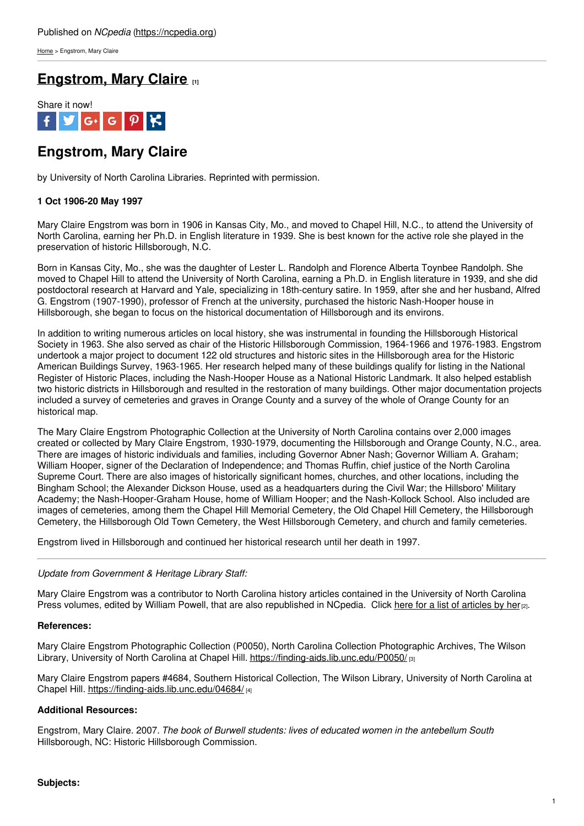[Home](https://ncpedia.org/) > Engstrom, Mary Claire

## **[Engstrom,](https://ncpedia.org/engstrom-mary-claire) Mary Claire [1]**



# **Engstrom, Mary Claire**

by University of North Carolina Libraries. Reprinted with permission.

## **1 Oct 1906-20 May 1997**

Mary Claire Engstrom was born in 1906 in Kansas City, Mo., and moved to Chapel Hill, N.C., to attend the University of North Carolina, earning her Ph.D. in English literature in 1939. She is best known for the active role she played in the preservation of historic Hillsborough, N.C.

Born in Kansas City, Mo., she was the [daughter](http://www.social9.com) of Lester L. Randolph and Florence Alberta Toynbee Randolph. She moved to Chapel Hill to attend the University of North Carolina, earning a Ph.D. in English literature in 1939, and she did postdoctoral research at Harvard and Yale, specializing in 18th-century satire. In 1959, after she and her husband, Alfred G. Engstrom (1907-1990), professor of French at the university, purchased the historic Nash-Hooper house in Hillsborough, she began to focus on the historical documentation of Hillsborough and its environs.

In addition to writing numerous articles on local history, she was instrumental in founding the Hillsborough Historical Society in 1963. She also served as chair of the Historic Hillsborough Commission, 1964-1966 and 1976-1983. Engstrom undertook a major project to document 122 old structures and historic sites in the Hillsborough area for the Historic American Buildings Survey, 1963-1965. Her research helped many of these buildings qualify for listing in the National Register of Historic Places, including the Nash-Hooper House as a National Historic Landmark. It also helped establish two historic districts in Hillsborough and resulted in the restoration of many buildings. Other major documentation projects included a survey of cemeteries and graves in Orange County and a survey of the whole of Orange County for an historical map.

The Mary Claire Engstrom Photographic Collection at the University of North Carolina contains over 2,000 images created or collected by Mary Claire Engstrom, 1930-1979, documenting the Hillsborough and Orange County, N.C., area. There are images of historic individuals and families, including Governor Abner Nash; Governor William A. Graham; William Hooper, signer of the Declaration of Independence; and Thomas Ruffin, chief justice of the North Carolina Supreme Court. There are also images of historically significant homes, churches, and other locations, including the Bingham School; the Alexander Dickson House, used as a headquarters during the Civil War; the Hillsboro' Military Academy; the Nash-Hooper-Graham House, home of William Hooper; and the Nash-Kollock School. Also included are images of cemeteries, among them the Chapel Hill Memorial Cemetery, the Old Chapel Hill Cemetery, the Hillsborough Cemetery, the Hillsborough Old Town Cemetery, the West Hillsborough Cemetery, and church and family cemeteries.

Engstrom lived in Hillsborough and continued her historical research until her death in 1997.

### *Update from Government & Heritage Library Staff:*

Mary Claire Engstrom was a contributor to North Carolina history articles contained in the University of North Carolina Press volumes, edited by William Powell, that are also republished in NCpedia. Click here for a list of [articles](https://ncpedia.org/category/authors/engstrom-mary-clai) by her $_{[2]}$ .

### **References:**

Mary Claire Engstrom Photographic Collection (P0050), North Carolina Collection Photographic Archives, The Wilson Library, University of North Carolina at Chapel Hill. <https://finding-aids.lib.unc.edu/P0050/> [3]

Mary Claire Engstrom papers #4684, Southern Historical Collection, The Wilson Library, University of North Carolina at Chapel Hill. <https://finding-aids.lib.unc.edu/04684/> [4]

## **Additional Resources:**

Engstrom, Mary Claire. 2007. *The book of Burwell students: lives of educated women in the antebellum South*. Hillsborough, NC: Historic Hillsborough Commission.